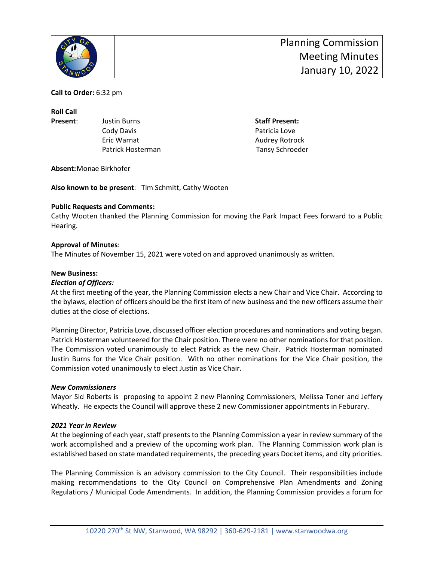

**Call to Order:** 6:32 pm

**Roll Call**

**Present:** Justin Burns **Staff Present:** Justin Burns **Staff Present:** Cody Davis **Patricia** Love Eric Warnat **Audrey Rotrock Audrey Rotrock** Patrick Hosterman Tansy Schroeder

**Absent:**Monae Birkhofer

**Also known to be present**: Tim Schmitt, Cathy Wooten

### **Public Requests and Comments:**

Cathy Wooten thanked the Planning Commission for moving the Park Impact Fees forward to a Public Hearing.

### **Approval of Minutes**:

The Minutes of November 15, 2021 were voted on and approved unanimously as written.

### **New Business:**

### *Election of Officers:*

At the first meeting of the year, the Planning Commission elects a new Chair and Vice Chair. According to the bylaws, election of officers should be the first item of new business and the new officers assume their duties at the close of elections.

Planning Director, Patricia Love, discussed officer election procedures and nominations and voting began. Patrick Hosterman volunteered for the Chair position. There were no other nominations for that position. The Commission voted unanimously to elect Patrick as the new Chair. Patrick Hosterman nominated Justin Burns for the Vice Chair position. With no other nominations for the Vice Chair position, the Commission voted unanimously to elect Justin as Vice Chair.

#### *New Commissioners*

Mayor Sid Roberts is proposing to appoint 2 new Planning Commissioners, Melissa Toner and Jeffery Wheatly. He expects the Council will approve these 2 new Commissioner appointments in Feburary.

#### *2021 Year in Review*

At the beginning of each year, staff presents to the Planning Commission a year in review summary of the work accomplished and a preview of the upcoming work plan. The Planning Commission work plan is established based on state mandated requirements, the preceding years Docket items, and city priorities.

The Planning Commission is an advisory commission to the City Council. Their responsibilities include making recommendations to the City Council on Comprehensive Plan Amendments and Zoning Regulations / Municipal Code Amendments. In addition, the Planning Commission provides a forum for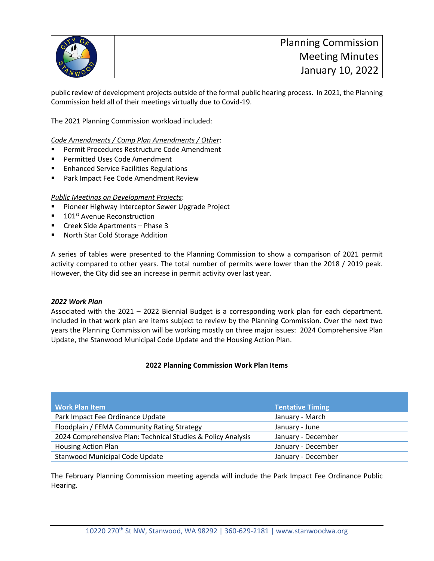

public review of development projects outside of the formal public hearing process. In 2021, the Planning Commission held all of their meetings virtually due to Covid-19.

The 2021 Planning Commission workload included:

*Code Amendments / Comp Plan Amendments / Other*:

- **Permit Procedures Restructure Code Amendment**
- **Permitted Uses Code Amendment**
- Enhanced Service Facilities Regulations
- Park Impact Fee Code Amendment Review

### *Public Meetings on Development Projects*:

- Pioneer Highway Interceptor Sewer Upgrade Project
- 101<sup>st</sup> Avenue Reconstruction
- **EXECTE:** Creek Side Apartments Phase 3
- North Star Cold Storage Addition

A series of tables were presented to the Planning Commission to show a comparison of 2021 permit activity compared to other years. The total number of permits were lower than the 2018 / 2019 peak. However, the City did see an increase in permit activity over last year.

### *2022 Work Plan*

Associated with the 2021 – 2022 Biennial Budget is a corresponding work plan for each department. Included in that work plan are items subject to review by the Planning Commission. Over the next two years the Planning Commission will be working mostly on three major issues: 2024 Comprehensive Plan Update, the Stanwood Municipal Code Update and the Housing Action Plan.

### **2022 Planning Commission Work Plan Items**

| <b>Work Plan Item</b>                                        | Tentative Timing   |
|--------------------------------------------------------------|--------------------|
| Park Impact Fee Ordinance Update                             | January - March    |
| Floodplain / FEMA Community Rating Strategy                  | January - June     |
| 2024 Comprehensive Plan: Technical Studies & Policy Analysis | January - December |
| <b>Housing Action Plan</b>                                   | January - December |
| Stanwood Municipal Code Update                               | January - December |

The February Planning Commission meeting agenda will include the Park Impact Fee Ordinance Public Hearing.